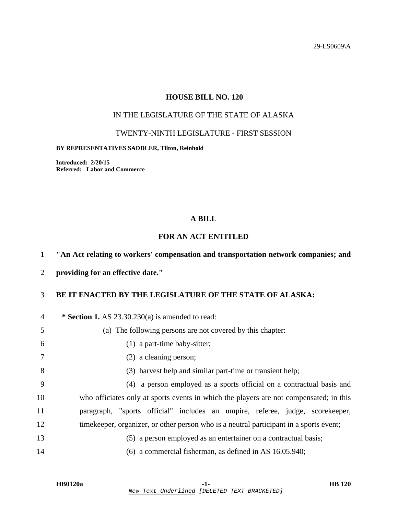29-LS0609\A

## **HOUSE BILL NO. 120**

# IN THE LEGISLATURE OF THE STATE OF ALASKA

### TWENTY-NINTH LEGISLATURE - FIRST SESSION

#### **BY REPRESENTATIVES SADDLER, Tilton, Reinbold**

**Introduced: 2/20/15 Referred: Labor and Commerce** 

### **A BILL**

## **FOR AN ACT ENTITLED**

### 1 **"An Act relating to workers' compensation and transportation network companies; and**

2 **providing for an effective date."** 

# 3 **BE IT ENACTED BY THE LEGISLATURE OF THE STATE OF ALASKA:**

| 4  | * Section 1. AS 23.30.230(a) is amended to read:                                        |
|----|-----------------------------------------------------------------------------------------|
| 5  | (a) The following persons are not covered by this chapter:                              |
| 6  | $(1)$ a part-time baby-sitter;                                                          |
| 7  | (2) a cleaning person;                                                                  |
| 8  | (3) harvest help and similar part-time or transient help;                               |
| 9  | (4) a person employed as a sports official on a contractual basis and                   |
| 10 | who officiates only at sports events in which the players are not compensated; in this  |
| 11 | paragraph, "sports official" includes an umpire, referee, judge, scorekeeper,           |
| 12 | time keeper, organizer, or other person who is a neutral participant in a sports event; |
| 13 | (5) a person employed as an entertainer on a contractual basis;                         |
| 14 | $(6)$ a commercial fisherman, as defined in AS 16.05.940;                               |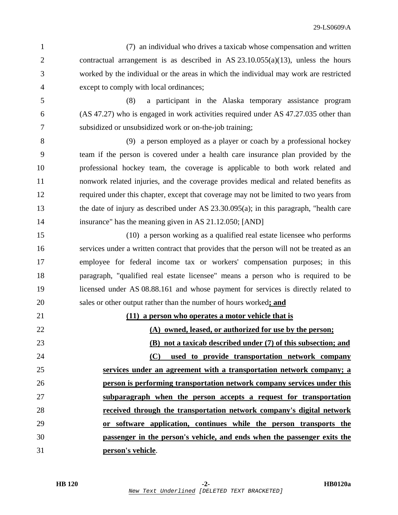1 (7) an individual who drives a taxicab whose compensation and written 2 contractual arrangement is as described in AS 23.10.055(a)(13), unless the hours 3 worked by the individual or the areas in which the individual may work are restricted 4 except to comply with local ordinances;

5 (8) a participant in the Alaska temporary assistance program 6 (AS 47.27) who is engaged in work activities required under AS 47.27.035 other than 7 subsidized or unsubsidized work or on-the-job training;

8 (9) a person employed as a player or coach by a professional hockey 9 team if the person is covered under a health care insurance plan provided by the 10 professional hockey team, the coverage is applicable to both work related and 11 nonwork related injuries, and the coverage provides medical and related benefits as 12 required under this chapter, except that coverage may not be limited to two years from 13 the date of injury as described under AS 23.30.095(a); in this paragraph, "health care 14 insurance" has the meaning given in AS 21.12.050; [AND]

15 (10) a person working as a qualified real estate licensee who performs 16 services under a written contract that provides that the person will not be treated as an 17 employee for federal income tax or workers' compensation purposes; in this 18 paragraph, "qualified real estate licensee" means a person who is required to be 19 licensed under AS 08.88.161 and whose payment for services is directly related to 20 sales or other output rather than the number of hours worked**; and**

**(11) a person who operates a motor vehicle that is (A) owned, leased, or authorized for use by the person; (B) not a taxicab described under (7) of this subsection; and (C) used to provide transportation network company services under an agreement with a transportation network company; a person is performing transportation network company services under this subparagraph when the person accepts a request for transportation received through the transportation network company's digital network or software application, continues while the person transports the passenger in the person's vehicle, and ends when the passenger exits the person's vehicle**.